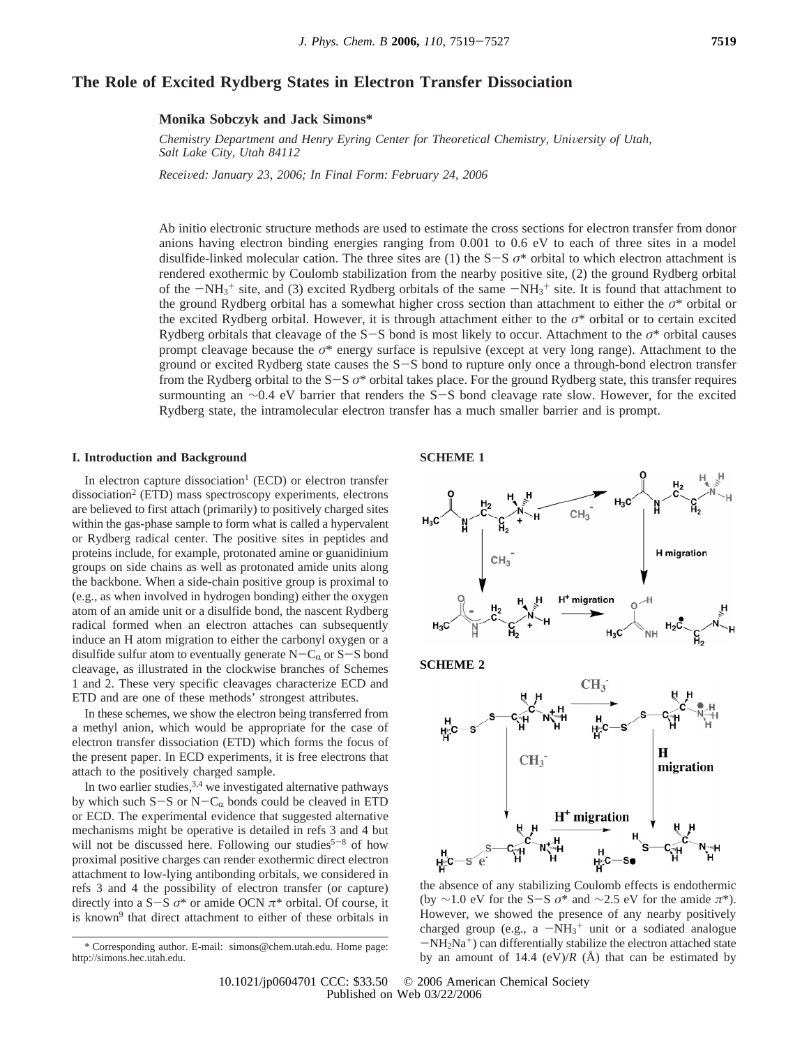# **The Role of Excited Rydberg States in Electron Transfer Dissociation**

**Monika Sobczyk and Jack Simons\***

*Chemistry Department and Henry Eyring Center for Theoretical Chemistry, University of Utah, Salt Lake City, Utah 84112*

*Recei*V*ed: January 23, 2006; In Final Form: February 24, 2006*

Ab initio electronic structure methods are used to estimate the cross sections for electron transfer from donor anions having electron binding energies ranging from 0.001 to 0.6 eV to each of three sites in a model disulfide-linked molecular cation. The three sites are (1) the S-<sup>S</sup> *<sup>σ</sup>*\* orbital to which electron attachment is rendered exothermic by Coulomb stabilization from the nearby positive site, (2) the ground Rydberg orbital of the  $-NH_3^+$  site, and (3) excited Rydberg orbitals of the same  $-NH_3^+$  site. It is found that attachment to the ground Rydberg orbital has a somewhat higher cross section than attachment to either the  $\sigma^*$  orbital the ground Rydberg orbital has a somewhat higher cross section than attachment to either the *σ*\* orbital or the excited Rydberg orbital. However, it is through attachment either to the *σ*\* orbital or to certain excited Rydberg orbitals that cleavage of the S-S bond is most likely to occur. Attachment to the  $\sigma^*$  orbital causes prompt cleavage because the *σ*\* energy surface is repulsive (except at very long range). Attachment to the ground or excited Rydberg state causes the S-S bond to rupture only once a through-bond electron transfer from the Rydberg orbital to the  $S-S$   $\sigma^*$  orbital takes place. For the ground Rydberg state, this transfer requires surmounting an ∼0.4 eV barrier that renders the S-S bond cleavage rate slow. However, for the excited Rydberg state, the intramolecular electron transfer has a much smaller barrier and is prompt.

## **I. Introduction and Background**

In electron capture dissociation<sup>1</sup> (ECD) or electron transfer dissociation<sup>2</sup> (ETD) mass spectroscopy experiments, electrons are believed to first attach (primarily) to positively charged sites within the gas-phase sample to form what is called a hypervalent or Rydberg radical center. The positive sites in peptides and proteins include, for example, protonated amine or guanidinium groups on side chains as well as protonated amide units along the backbone. When a side-chain positive group is proximal to (e.g., as when involved in hydrogen bonding) either the oxygen atom of an amide unit or a disulfide bond, the nascent Rydberg radical formed when an electron attaches can subsequently induce an H atom migration to either the carbonyl oxygen or a disulfide sulfur atom to eventually generate  $N-C_{\alpha}$  or S-S bond cleavage, as illustrated in the clockwise branches of Schemes 1 and 2. These very specific cleavages characterize ECD and ETD and are one of these methods' strongest attributes.

In these schemes, we show the electron being transferred from a methyl anion, which would be appropriate for the case of electron transfer dissociation (ETD) which forms the focus of the present paper. In ECD experiments, it is free electrons that attach to the positively charged sample.

In two earlier studies,3,4 we investigated alternative pathways by which such  $S-S$  or  $N-C_{\alpha}$  bonds could be cleaved in ETD or ECD. The experimental evidence that suggested alternative mechanisms might be operative is detailed in refs 3 and 4 but will not be discussed here. Following our studies<sup>5-8</sup> of how proximal positive charges can render exothermic direct electron attachment to low-lying antibonding orbitals, we considered in refs 3 and 4 the possibility of electron transfer (or capture) directly into a S-<sup>S</sup> *<sup>σ</sup>*\* or amide OCN *<sup>π</sup>*\* orbital. Of course, it is known<sup>9</sup> that direct attachment to either of these orbitals in





 $CH<sub>3</sub>$ Н  $CH<sub>3</sub>$ migration  $H<sup>+</sup>$  migration

the absence of any stabilizing Coulomb effects is endothermic (by <sup>∼</sup>1.0 eV for the S-<sup>S</sup> *<sup>σ</sup>*\* and <sup>∼</sup>2.5 eV for the amide *<sup>π</sup>*\*). However, we showed the presence of any nearby positively charged group (e.g.,  $a - NH_3^+$  unit or a sodiated analogue<br> $-NH_3N_3^+$ ) can differentially stabilize the electron attached state  $-NH_2Na^+$ ) can differentially stabilize the electron attached state \* Corresponding author. E-mail: simons@chem.utah.edu. Home page: <br>p://simons.hec.utah.edu. by an amount of 14.4 (eV)/*R* (Å) that can be estimated by

http://simons.hec.utah.edu.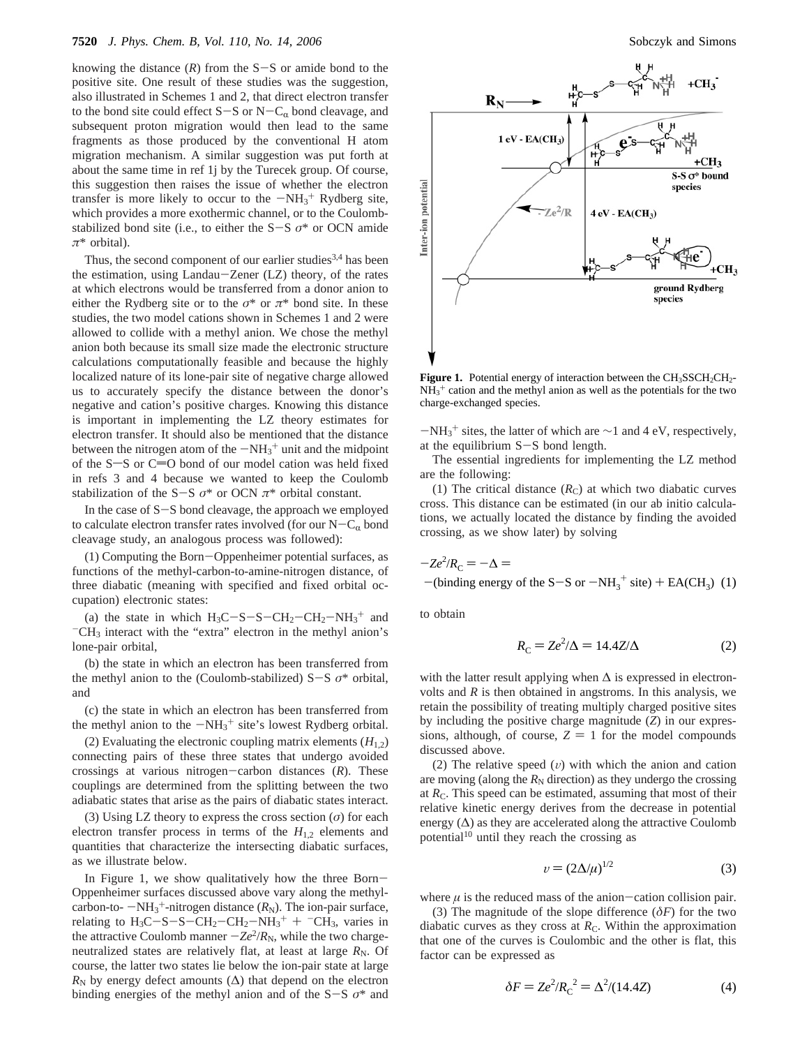knowing the distance  $(R)$  from the S-S or amide bond to the positive site. One result of these studies was the suggestion, also illustrated in Schemes 1 and 2, that direct electron transfer to the bond site could effect  $S-S$  or  $N-C_{\alpha}$  bond cleavage, and subsequent proton migration would then lead to the same fragments as those produced by the conventional H atom migration mechanism. A similar suggestion was put forth at about the same time in ref 1j by the Turecek group. Of course, this suggestion then raises the issue of whether the electron transfer is more likely to occur to the  $-NH_3$ <sup>+</sup> Rydberg site,<br>which provides a more exothermic channel, or to the Coulombwhich provides a more exothermic channel, or to the Coulombstabilized bond site (i.e., to either the  $S-S$   $\sigma^*$  or OCN amide *π*\* orbital).

Thus, the second component of our earlier studies<sup>3,4</sup> has been the estimation, using Landau-Zener (LZ) theory, of the rates at which electrons would be transferred from a donor anion to either the Rydberg site or to the  $\sigma^*$  or  $\pi^*$  bond site. In these studies, the two model cations shown in Schemes 1 and 2 were allowed to collide with a methyl anion. We chose the methyl anion both because its small size made the electronic structure calculations computationally feasible and because the highly localized nature of its lone-pair site of negative charge allowed us to accurately specify the distance between the donor's negative and cation's positive charges. Knowing this distance is important in implementing the LZ theory estimates for electron transfer. It should also be mentioned that the distance between the nitrogen atom of the  $-NH_3^+$  unit and the midpoint<br>of the S-S or C=O bond of our model cation was held fixed of the  $S-S$  or  $C=O$  bond of our model cation was held fixed in refs 3 and 4 because we wanted to keep the Coulomb stabilization of the S-S  $\sigma^*$  or OCN  $\pi^*$  orbital constant.

In the case of S-S bond cleavage, the approach we employed to calculate electron transfer rates involved (for our  $N-C_{\alpha}$  bond cleavage study, an analogous process was followed):

(1) Computing the Born-Oppenheimer potential surfaces, as functions of the methyl-carbon-to-amine-nitrogen distance, of three diabatic (meaning with specified and fixed orbital occupation) electronic states:

(a) the state in which  $H_3C-S-ST-CH_2-CH_2-NH_3^+$  and<br>
H<sub>2</sub> interact with the "extra" electron in the methyl anion's  $\overline{C}CH_3$  interact with the "extra" electron in the methyl anion's lone-pair orbital,

(b) the state in which an electron has been transferred from the methyl anion to the (Coulomb-stabilized)  $S-S \sigma^*$  orbital, and

(c) the state in which an electron has been transferred from the methyl anion to the  $-NH_3^+$  site's lowest Rydberg orbital.

(2) Evaluating the electronic coupling matrix elements  $(H_{1,2})$ connecting pairs of these three states that undergo avoided crossings at various nitrogen-carbon distances (*R*). These couplings are determined from the splitting between the two adiabatic states that arise as the pairs of diabatic states interact.

(3) Using LZ theory to express the cross section (*σ*) for each electron transfer process in terms of the  $H_{1,2}$  elements and quantities that characterize the intersecting diabatic surfaces, as we illustrate below.

In Figure 1, we show qualitatively how the three Born-Oppenheimer surfaces discussed above vary along the methylcarbon-to- $-MH_3^+$ -nitrogen distance  $(R_N)$ . The ion-pair surface,<br>relating to  $H_2C-S-CH_2-CH_2-MH_2^+ + TCH_2$  varies in relating to  $H_3C-S-CH_2-CH_2-NH_3^+ + C-H_3$ , varies in<br>the attractive Coulomb manner  $-7e^2/R_2$ , while the two chargethe attractive Coulomb manner  $-Ze^2/R_N$ , while the two chargeneutralized states are relatively flat, at least at large  $R_N$ . Of course, the latter two states lie below the ion-pair state at large  $R_N$  by energy defect amounts ( $\Delta$ ) that depend on the electron binding energies of the methyl anion and of the  $S-S \sigma^*$  and



Figure 1. Potential energy of interaction between the CH<sub>3</sub>SSCH<sub>2</sub>CH<sub>2</sub>- $NH<sub>3</sub><sup>+</sup>$  cation and the methyl anion as well as the potentials for the two charge-exchanged species.

 $-NH_3^+$  sites, the latter of which are ∼1 and 4 eV, respectively, at the equilibrium S–S bond length at the equilibrium S-S bond length.

The essential ingredients for implementing the LZ method are the following:

(1) The critical distance  $(R_C)$  at which two diabatic curves cross. This distance can be estimated (in our ab initio calculations, we actually located the distance by finding the avoided crossing, as we show later) by solving

$$
-Ze^{2}/R_{C} = -\Delta =
$$
  
-(binding energy of the S-S or -NH<sub>3</sub><sup>+</sup> site) + EA(CH<sub>3</sub>) (1)

to obtain

$$
R_{\rm C} = Ze^2/\Delta = 14.4Z/\Delta \tag{2}
$$

with the latter result applying when  $\Delta$  is expressed in electronvolts and  $R$  is then obtained in angstroms. In this analysis, we retain the possibility of treating multiply charged positive sites by including the positive charge magnitude (*Z*) in our expressions, although, of course,  $Z = 1$  for the model compounds discussed above.

(2) The relative speed  $(v)$  with which the anion and cation are moving (along the  $R_N$  direction) as they undergo the crossing at  $R<sub>C</sub>$ . This speed can be estimated, assuming that most of their relative kinetic energy derives from the decrease in potential energy  $(\Delta)$  as they are accelerated along the attractive Coulomb potential<sup>10</sup> until they reach the crossing as

$$
v = (2\Delta/\mu)^{1/2} \tag{3}
$$

where  $\mu$  is the reduced mass of the anion-cation collision pair.

(3) The magnitude of the slope difference ( $\delta F$ ) for the two diabatic curves as they cross at  $R<sub>C</sub>$ . Within the approximation that one of the curves is Coulombic and the other is flat, this factor can be expressed as

$$
\delta F = Ze^2/R_C^2 = \Delta^2/(14.4Z)
$$
 (4)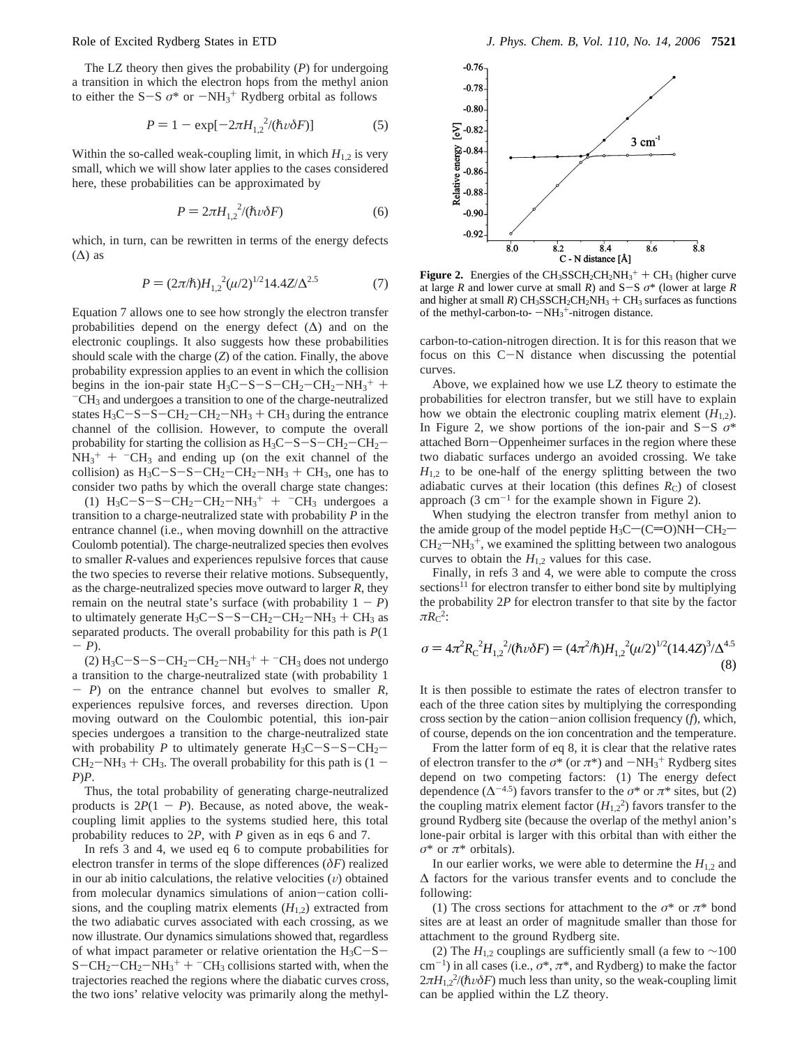The LZ theory then gives the probability (*P*) for undergoing a transition in which the electron hops from the methyl anion to either the  $S-S$  *o*<sup>\*</sup> or  $-NH_3$ <sup>+</sup> Rydberg orbital as follows

$$
P = 1 - \exp[-2\pi H_{1,2}^{2} / (\hbar v \delta F)]
$$
 (5)

Within the so-called weak-coupling limit, in which  $H_{1,2}$  is very small, which we will show later applies to the cases considered here, these probabilities can be approximated by

$$
P = 2\pi H_{1,2}^{2}/(\hbar v \delta F)
$$
 (6)

which, in turn, can be rewritten in terms of the energy defects  $(\Delta)$  as

$$
P = (2\pi/\hbar)H_{1,2}^{2}(\mu/2)^{1/2}14.4Z/\Delta^{2.5}
$$
 (7)

Equation 7 allows one to see how strongly the electron transfer probabilities depend on the energy defect  $(\Delta)$  and on the electronic couplings. It also suggests how these probabilities should scale with the charge (*Z*) of the cation. Finally, the above probability expression applies to an event in which the collision begins in the ion-pair state  $H_3C-S-S-CH_2-CH_2-NH_3^+$  +  $-CH_3$  and undergoes a transition to one of the charge-neutralized states  $H_3C-S-S-CH_2-CH_2-NH_3 + CH_3$  during the entrance channel of the collision. However, to compute the overall probability for starting the collision as  $H_3C-S-S-CH_2-CH_2 NH_3^+$  +  $CH_3$  and ending up (on the exit channel of the collision) as  $H_2C-S-CH_2-CH_3-NH_3+CH_2$  one has to collision) as  $H_3C-S-CH_2-CH_2-NH_3 + CH_3$ , one has to consider two paths by which the overall charge state changes:

(1)  $H_3C-S-S-CH_2-CH_2-NH_3^+ + -CH_3$  undergoes a<br>nsition to a charge-neutralized state with probability P in the transition to a charge-neutralized state with probability *P* in the entrance channel (i.e., when moving downhill on the attractive Coulomb potential). The charge-neutralized species then evolves to smaller *R*-values and experiences repulsive forces that cause the two species to reverse their relative motions. Subsequently, as the charge-neutralized species move outward to larger *R*, they remain on the neutral state's surface (with probability  $1 - P$ ) to ultimately generate  $H_3C-S-S-CH_2-CH_2-NH_3 + CH_3$  as separated products. The overall probability for this path is *P*(1  $- P$ ).

(2)  $H_3C-S-STCH_2-CH_2-NH_3^+ + \neg CH_3$  does not undergo<br>ransition to the charge-neutralized state (with probability 1) a transition to the charge-neutralized state (with probability 1 - *<sup>P</sup>*) on the entrance channel but evolves to smaller *<sup>R</sup>*, experiences repulsive forces, and reverses direction. Upon moving outward on the Coulombic potential, this ion-pair species undergoes a transition to the charge-neutralized state with probability *P* to ultimately generate  $H_3C-S-CH_2 CH_2-NH_3 + CH_3$ . The overall probability for this path is (1 – *P*)*P*.

Thus, the total probability of generating charge-neutralized products is  $2P(1 - P)$ . Because, as noted above, the weakcoupling limit applies to the systems studied here, this total probability reduces to 2*P*, with *P* given as in eqs 6 and 7.

In refs 3 and 4, we used eq 6 to compute probabilities for electron transfer in terms of the slope differences (*δF*) realized in our ab initio calculations, the relative velocities  $(v)$  obtained from molecular dynamics simulations of anion-cation collisions, and the coupling matrix elements  $(H_{1,2})$  extracted from the two adiabatic curves associated with each crossing, as we now illustrate. Our dynamics simulations showed that, regardless of what impact parameter or relative orientation the  $H_3C-S S-CH_2-CH_2-NH_3^+ + C-H_3$  collisions started with, when the trajectories reached the regions where the diabatic curves cross trajectories reached the regions where the diabatic curves cross, the two ions' relative velocity was primarily along the methyl-



 $(\mu/2)^{1/2}14.4Z/\Delta^{2.5}$  **Figure 2.** Energies of the CH<sub>3</sub>SSCH<sub>2</sub>CH<sub>2</sub>NH<sub>3</sub><sup>+</sup> + CH<sub>3</sub> (higher curve  $(\mu/2)^{1/2}14.4Z/\Delta^{2.5}$  (7) at large R and lower curve at small R) and S-S  $\sigma^*$  (lower at large R at large *<sup>R</sup>* and lower curve at small *<sup>R</sup>*) and S-<sup>S</sup> *<sup>σ</sup>*\* (lower at large *<sup>R</sup>* and higher at small *R*) CH<sub>3</sub>SSCH<sub>2</sub>CH<sub>2</sub>NH<sub>3</sub> + CH<sub>3</sub> surfaces as functions of the methyl-carbon-to- $-NH_3^+$ -nitrogen distance.

carbon-to-cation-nitrogen direction. It is for this reason that we focus on this C-N distance when discussing the potential curves.

Above, we explained how we use LZ theory to estimate the probabilities for electron transfer, but we still have to explain how we obtain the electronic coupling matrix element  $(H_{1,2})$ . In Figure 2, we show portions of the ion-pair and S-<sup>S</sup> *<sup>σ</sup>*\* attached Born-Oppenheimer surfaces in the region where these two diabatic surfaces undergo an avoided crossing. We take  $H_{1,2}$  to be one-half of the energy splitting between the two adiabatic curves at their location (this defines  $R_C$ ) of closest approach  $(3 \text{ cm}^{-1}$  for the example shown in Figure 2).

When studying the electron transfer from methyl anion to the amide group of the model peptide  $H_3C$  (C=O)NH -  $CH_2$  –  $CH_2$ <sup>+</sup>, we examined the splitting between two analogous curves to obtain the  $H_{1,2}$  values for this case.

Finally, in refs 3 and 4, we were able to compute the cross sections<sup>11</sup> for electron transfer to either bond site by multiplying the probability 2*P* for electron transfer to that site by the factor  $\pi R_C^2$ :

$$
\sigma = 4\pi^2 R_C^2 H_{1,2}^2 / (\hbar v \delta F) = (4\pi^2 / \hbar) H_{1,2}^2 (\mu / 2)^{1/2} (14.4 Z)^3 / \Delta^{4.5}
$$
\n(8)

It is then possible to estimate the rates of electron transfer to each of the three cation sites by multiplying the corresponding cross section by the cation-anion collision frequency (*f*), which, of course, depends on the ion concentration and the temperature.

From the latter form of eq 8, it is clear that the relative rates of electron transfer to the  $\sigma^*$  (or  $\pi^*$ ) and  $-NH_3^+$  Rydberg sites<br>depend on two competing factors: (1) The energy defect depend on two competing factors: (1) The energy defect dependence ( $\Delta^{-4.5}$ ) favors transfer to the  $\sigma^*$  or  $\pi^*$  sites, but (2) the coupling matrix element factor  $(H_{1,2}^2)$  favors transfer to the ground Rydberg site (because the overlap of the methyl anion's lone-pair orbital is larger with this orbital than with either the *σ*\* or *π*\* orbitals).

In our earlier works, we were able to determine the  $H_{1,2}$  and ∆ factors for the various transfer events and to conclude the following:

(1) The cross sections for attachment to the *σ*\* or *π*\* bond sites are at least an order of magnitude smaller than those for attachment to the ground Rydberg site.

(2) The  $H_{1,2}$  couplings are sufficiently small (a few to ~100 cm<sup>-1</sup>) in all cases (i.e.,  $\sigma^*$ ,  $\pi^*$ , and Rydberg) to make the factor  $2\pi H_{1,2}^2/(\hbar v \delta F)$  much less than unity, so the weak-coupling limit can be applied within the LZ theory.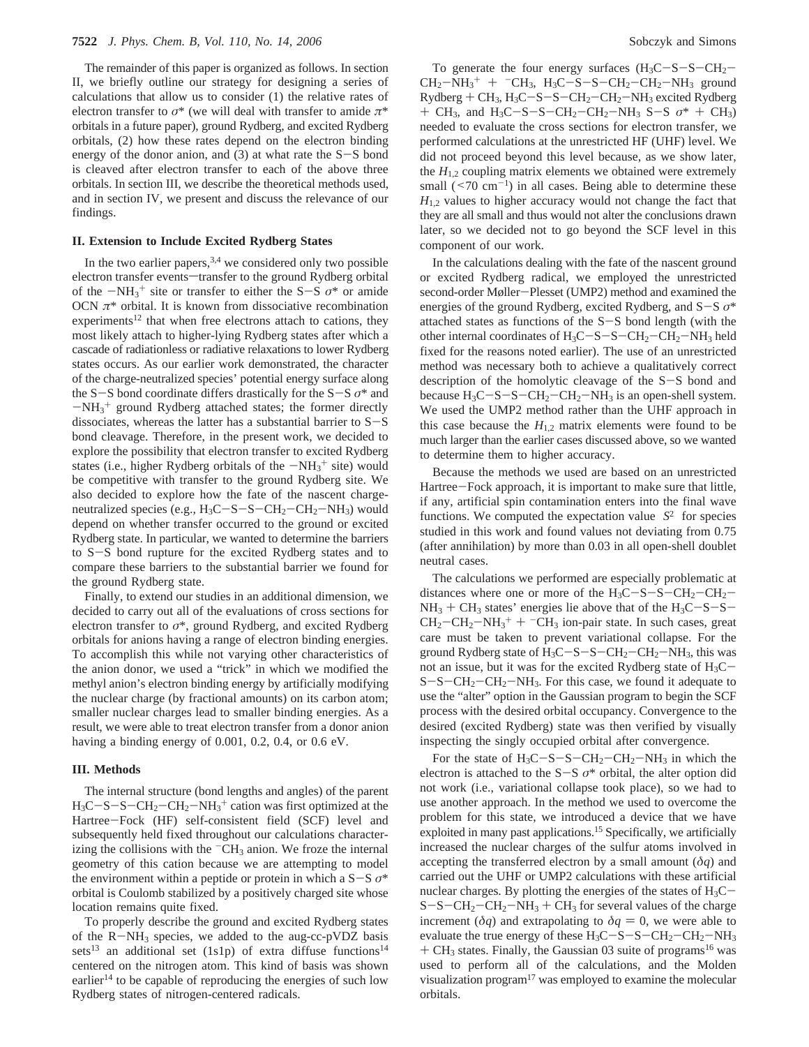The remainder of this paper is organized as follows. In section II, we briefly outline our strategy for designing a series of calculations that allow us to consider (1) the relative rates of electron transfer to *σ*\* (we will deal with transfer to amide *π*\* orbitals in a future paper), ground Rydberg, and excited Rydberg orbitals, (2) how these rates depend on the electron binding energy of the donor anion, and  $(3)$  at what rate the S-S bond is cleaved after electron transfer to each of the above three orbitals. In section III, we describe the theoretical methods used, and in section IV, we present and discuss the relevance of our findings.

## **II. Extension to Include Excited Rydberg States**

In the two earlier papers,  $3,4$  we considered only two possible electron transfer events-transfer to the ground Rydberg orbital of the  $-NH_3^+$  site or transfer to either the S-S  $\sigma^*$  or amide<br>OCN  $\pi^*$  orbital. It is known from dissociative recombination OCN  $\pi$ <sup>\*</sup> orbital. It is known from dissociative recombination experiments<sup>12</sup> that when free electrons attach to cations, they most likely attach to higher-lying Rydberg states after which a cascade of radiationless or radiative relaxations to lower Rydberg states occurs. As our earlier work demonstrated, the character of the charge-neutralized species' potential energy surface along the S-S bond coordinate differs drastically for the S-S  $\sigma^*$  and  $-MH_3^+$  ground Rydberg attached states; the former directly dissociates, whereas the latter has a substantial barrier to  $S-S$ dissociates, whereas the latter has a substantial barrier to  $S-S$ bond cleavage. Therefore, in the present work, we decided to explore the possibility that electron transfer to excited Rydberg states (i.e., higher Rydberg orbitals of the  $-NH_3^+$  site) would<br>be competitive with transfer to the ground Rydberg site. We be competitive with transfer to the ground Rydberg site. We also decided to explore how the fate of the nascent chargeneutralized species (e.g.,  $H_3C-S-S-CH_2-CH_2-NH_3$ ) would depend on whether transfer occurred to the ground or excited Rydberg state. In particular, we wanted to determine the barriers to S-S bond rupture for the excited Rydberg states and to compare these barriers to the substantial barrier we found for the ground Rydberg state.

Finally, to extend our studies in an additional dimension, we decided to carry out all of the evaluations of cross sections for electron transfer to *σ*\*, ground Rydberg, and excited Rydberg orbitals for anions having a range of electron binding energies. To accomplish this while not varying other characteristics of the anion donor, we used a "trick" in which we modified the methyl anion's electron binding energy by artificially modifying the nuclear charge (by fractional amounts) on its carbon atom; smaller nuclear charges lead to smaller binding energies. As a result, we were able to treat electron transfer from a donor anion having a binding energy of 0.001, 0.2, 0.4, or 0.6 eV.

### **III. Methods**

The internal structure (bond lengths and angles) of the parent  $H_3C-S-S-CH_2-CH_2-NH_3^+$  cation was first optimized at the<br>Hartree-Eock (HE) self-consistent, field (SCE) level, and Hartree-Fock (HF) self-consistent field (SCF) level and subsequently held fixed throughout our calculations characterizing the collisions with the  $\overline{C}H_3$  anion. We froze the internal geometry of this cation because we are attempting to model the environment within a peptide or protein in which a  $S-S$   $\sigma^*$ orbital is Coulomb stabilized by a positively charged site whose location remains quite fixed.

To properly describe the ground and excited Rydberg states of the  $R-NH_3$  species, we added to the aug-cc-pVDZ basis sets<sup>13</sup> an additional set (1s1p) of extra diffuse functions<sup>14</sup> centered on the nitrogen atom. This kind of basis was shown earlier<sup>14</sup> to be capable of reproducing the energies of such low Rydberg states of nitrogen-centered radicals.

To generate the four energy surfaces  $(H_3C-S-CH_2 CH_2-NH_3^+$  +  $^-CH_3$ ,  $H_3C-S-S-CH_2-CH_2-NH_3$  ground<br>Rydberg + CH<sub>2</sub>, H-C-S-S-CH<sub>2</sub>-CH<sub>2</sub>-NH<sub>2</sub> excited Rydberg  $Rydberg + CH_3$ ,  $H_3C-S-S-CH_2-CH_2-NH_3$  excited Rydberg  $+$  CH<sub>3</sub>, and H<sub>3</sub>C-S-S-CH<sub>2</sub>-CH<sub>2</sub>-NH<sub>3</sub> S-S  $\sigma^*$  + CH<sub>3</sub>) needed to evaluate the cross sections for electron transfer, we performed calculations at the unrestricted HF (UHF) level. We did not proceed beyond this level because, as we show later, the  $H_{1,2}$  coupling matrix elements we obtained were extremely small  $(< 70 \text{ cm}^{-1})$  in all cases. Being able to determine these  $H_{1,2}$  values to higher accuracy would not change the fact that they are all small and thus would not alter the conclusions drawn later, so we decided not to go beyond the SCF level in this component of our work.

In the calculations dealing with the fate of the nascent ground or excited Rydberg radical, we employed the unrestricted second-order Møller-Plesset (UMP2) method and examined the energies of the ground Rydberg, excited Rydberg, and S-<sup>S</sup> *<sup>σ</sup>*\* attached states as functions of the S-S bond length (with the other internal coordinates of  $H_3C-S-S-CH_2-CH_2-NH_3$  held fixed for the reasons noted earlier). The use of an unrestricted method was necessary both to achieve a qualitatively correct description of the homolytic cleavage of the S-S bond and because  $H_3C-S-S-CH_2-CH_2-NH_3$  is an open-shell system. We used the UMP2 method rather than the UHF approach in this case because the  $H_{1,2}$  matrix elements were found to be much larger than the earlier cases discussed above, so we wanted to determine them to higher accuracy.

Because the methods we used are based on an unrestricted Hartree-Fock approach, it is important to make sure that little, if any, artificial spin contamination enters into the final wave functions. We computed the expectation value  $\langle S^2 \rangle$  for species studied in this work and found values not deviating from 0.75 (after annihilation) by more than 0.03 in all open-shell doublet neutral cases.

The calculations we performed are especially problematic at distances where one or more of the  $H_3C-S-S-CH_2-CH_2 NH_3 + CH_3$  states' energies lie above that of the  $H_3C-S-S CH_2-CH_2-NH_3^+ + -CH_3$  ion-pair state. In such cases, great<br>care must be taken to prevent variational collanse. For the care must be taken to prevent variational collapse. For the ground Rydberg state of  $H_3C-S-S-CH_2-CH_2-NH_3$ , this was not an issue, but it was for the excited Rydberg state of  $H_3C$  $S-S-CH_2-CH_2-NH_3$ . For this case, we found it adequate to use the "alter" option in the Gaussian program to begin the SCF process with the desired orbital occupancy. Convergence to the desired (excited Rydberg) state was then verified by visually inspecting the singly occupied orbital after convergence.

For the state of  $H_3C-S-S-CH_2-CH_2-NH_3$  in which the electron is attached to the  $S-S$   $\sigma^*$  orbital, the alter option did not work (i.e., variational collapse took place), so we had to use another approach. In the method we used to overcome the problem for this state, we introduced a device that we have exploited in many past applications.<sup>15</sup> Specifically, we artificially increased the nuclear charges of the sulfur atoms involved in accepting the transferred electron by a small amount  $(\delta q)$  and carried out the UHF or UMP2 calculations with these artificial nuclear charges. By plotting the energies of the states of  $H_3C S-S-CH_2-CH_2-NH_3 + CH_3$  for several values of the charge increment ( $\delta q$ ) and extrapolating to  $\delta q = 0$ , we were able to evaluate the true energy of these  $H_3C-S-S-CH_2-CH_2-NH_3$  $+$  CH<sub>3</sub> states. Finally, the Gaussian 03 suite of programs<sup>16</sup> was used to perform all of the calculations, and the Molden visualization program $17$  was employed to examine the molecular orbitals.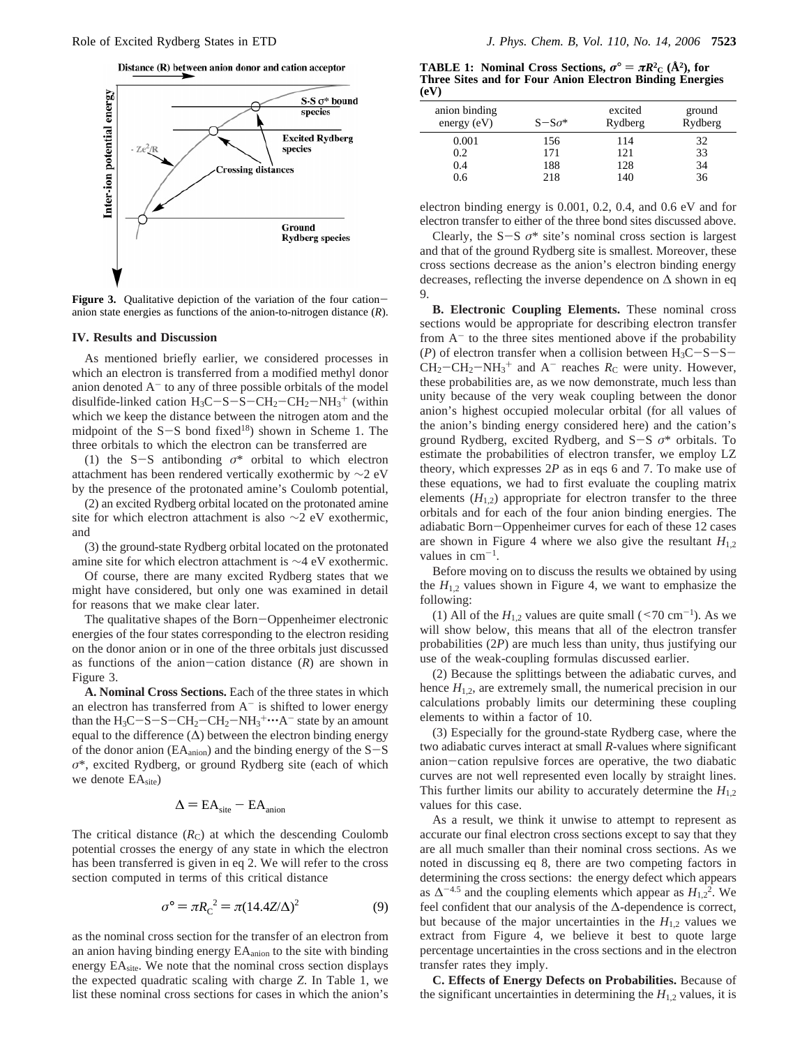Distance (R) between anion donor and cation acceptor



Figure 3. Qualitative depiction of the variation of the four cationanion state energies as functions of the anion-to-nitrogen distance (*R*).

#### **IV. Results and Discussion**

As mentioned briefly earlier, we considered processes in which an electron is transferred from a modified methyl donor anion denoted  $A^-$  to any of three possible orbitals of the model disulfide-linked cation  $H_3C-S-S-CH_2-CH_2-NH_3$ <sup>+</sup> (within<br>which we keen the distance between the nitrogen atom and the which we keep the distance between the nitrogen atom and the midpoint of the  $S-S$  bond fixed<sup>18</sup>) shown in Scheme 1. The three orbitals to which the electron can be transferred are

(1) the S-S antibonding *<sup>σ</sup>*\* orbital to which electron attachment has been rendered vertically exothermic by ∼2 eV by the presence of the protonated amine's Coulomb potential,

(2) an excited Rydberg orbital located on the protonated amine site for which electron attachment is also ∼2 eV exothermic, and

(3) the ground-state Rydberg orbital located on the protonated amine site for which electron attachment is ∼4 eV exothermic.

Of course, there are many excited Rydberg states that we might have considered, but only one was examined in detail for reasons that we make clear later.

The qualitative shapes of the Born-Oppenheimer electronic energies of the four states corresponding to the electron residing on the donor anion or in one of the three orbitals just discussed as functions of the anion-cation distance  $(R)$  are shown in Figure 3.

**A. Nominal Cross Sections.** Each of the three states in which an electron has transferred from  $A^-$  is shifted to lower energy than the  $H_3C-S-S-CH_2-CH_2-NH_3+\cdots A^-$  state by an amount<br>equal to the difference  $(\Lambda)$  between the electron binding energy equal to the difference  $(\Delta)$  between the electron binding energy of the donor anion ( $EA_{\text{anion}}$ ) and the binding energy of the  $S-S$ *σ*\*, excited Rydberg, or ground Rydberg site (each of which we denote EA<sub>site</sub>)

$$
\Delta = EA_{site} - EA_{anion}
$$

The critical distance  $(R_C)$  at which the descending Coulomb potential crosses the energy of any state in which the electron has been transferred is given in eq 2. We will refer to the cross section computed in terms of this critical distance

$$
\sigma^{\circ} = \pi R_{\rm C}^{\ 2} = \pi (14.4 Z/\Delta)^2 \tag{9}
$$

as the nominal cross section for the transfer of an electron from an anion having binding energy EA<sub>anion</sub> to the site with binding energy EA<sub>site</sub>. We note that the nominal cross section displays the expected quadratic scaling with charge *Z*. In Table 1, we list these nominal cross sections for cases in which the anion's

**TABLE 1: Nominal Cross Sections,**  $\sigma^{\circ} = \pi R^2_C$  **(Å<sup>2</sup>), for Three Sites and for Four Anion Electron Binding Energ Three Sites and for Four Anion Electron Binding Energies (eV)**

| anion binding<br>energy $(eV)$ | $S-S\sigma^*$ | excited<br>Rydberg | ground<br>Rydberg |
|--------------------------------|---------------|--------------------|-------------------|
| 0.001                          | 156           | 114                | 32                |
| 0.2                            | 171           | 121                | 33                |
| 0.4                            | 188           | 128                | 34                |
| 0.6                            | 218           | 140                | 36                |

electron binding energy is 0.001, 0.2, 0.4, and 0.6 eV and for electron transfer to either of the three bond sites discussed above.

Clearly, the  $S-S$   $\sigma^*$  site's nominal cross section is largest and that of the ground Rydberg site is smallest. Moreover, these cross sections decrease as the anion's electron binding energy decreases, reflecting the inverse dependence on  $\Delta$  shown in eq 9.

**B. Electronic Coupling Elements.** These nominal cross sections would be appropriate for describing electron transfer from  $A^-$  to the three sites mentioned above if the probability (*P*) of electron transfer when a collision between  $H_3C-S-S CH_2-CH_2-MH_3$ <sup>+</sup> and  $A^-$  reaches  $R_C$  were unity. However, these probabilities are as we now demonstrate much less than these probabilities are, as we now demonstrate, much less than unity because of the very weak coupling between the donor anion's highest occupied molecular orbital (for all values of the anion's binding energy considered here) and the cation's ground Rydberg, excited Rydberg, and S-<sup>S</sup> *<sup>σ</sup>*\* orbitals. To estimate the probabilities of electron transfer, we employ LZ theory, which expresses 2*P* as in eqs 6 and 7. To make use of these equations, we had to first evaluate the coupling matrix elements  $(H_{1,2})$  appropriate for electron transfer to the three orbitals and for each of the four anion binding energies. The adiabatic Born-Oppenheimer curves for each of these 12 cases are shown in Figure 4 where we also give the resultant  $H_{1,2}$ values in cm<sup>-1</sup>.

Before moving on to discuss the results we obtained by using the  $H_{1,2}$  values shown in Figure 4, we want to emphasize the following:

(1) All of the  $H_{1,2}$  values are quite small ( $\leq 70 \text{ cm}^{-1}$ ). As we will show below, this means that all of the electron transfer probabilities (2*P*) are much less than unity, thus justifying our use of the weak-coupling formulas discussed earlier.

(2) Because the splittings between the adiabatic curves, and hence  $H_{1,2}$ , are extremely small, the numerical precision in our calculations probably limits our determining these coupling elements to within a factor of 10.

(3) Especially for the ground-state Rydberg case, where the two adiabatic curves interact at small *R*-values where significant anion-cation repulsive forces are operative, the two diabatic curves are not well represented even locally by straight lines. This further limits our ability to accurately determine the  $H_{1,2}$ values for this case.

As a result, we think it unwise to attempt to represent as accurate our final electron cross sections except to say that they are all much smaller than their nominal cross sections. As we noted in discussing eq 8, there are two competing factors in determining the cross sections: the energy defect which appears as  $\Delta^{-4.5}$  and the coupling elements which appear as  $H_{1,2}^2$ . We feel confident that our analysis of the ∆-dependence is correct, but because of the major uncertainties in the  $H_{1,2}$  values we extract from Figure 4, we believe it best to quote large percentage uncertainties in the cross sections and in the electron transfer rates they imply.

**C. Effects of Energy Defects on Probabilities.** Because of the significant uncertainties in determining the  $H_{1,2}$  values, it is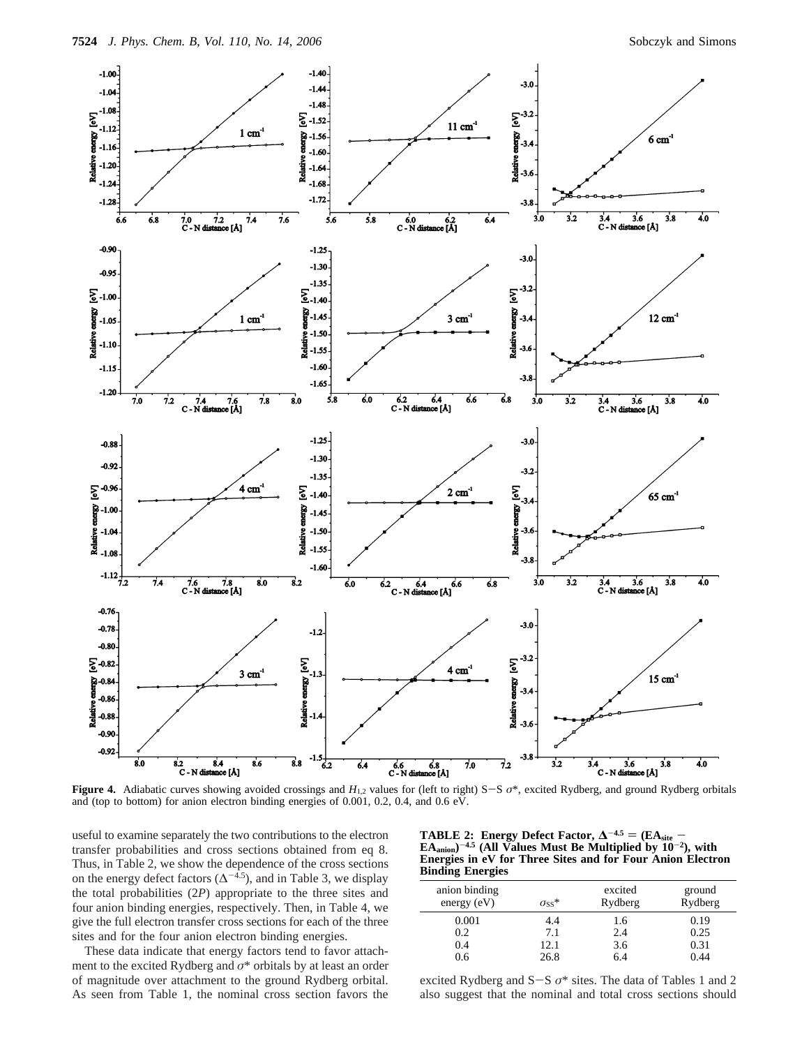

and (top to bottom) for anion electron binding energies of 0.001, 0.2, 0.4, and 0.6 eV.

useful to examine separately the two contributions to the electron transfer probabilities and cross sections obtained from eq 8. Thus, in Table 2, we show the dependence of the cross sections on the energy defect factors ( $\Delta^{-4.5}$ ), and in Table 3, we display the total probabilities (2*P*) appropriate to the three sites and four anion binding energies, respectively. Then, in Table 4, we give the full electron transfer cross sections for each of the three sites and for the four anion electron binding energies.

These data indicate that energy factors tend to favor attachment to the excited Rydberg and *σ*\* orbitals by at least an order of magnitude over attachment to the ground Rydberg orbital. As seen from Table 1, the nominal cross section favors the

**TABLE 2: Energy Defect Factor,**  $\Delta^{-4.5} = (EA_{site} - EA_{anion})^{-4.5}$  **(All Values Must Be Multiplied by 10<sup>-2</sup>), with Energies in eV for Three Sites and for Four Anion Electron Binding Energies**

| anion binding<br>energy $(eV)$ | $\sigma_{SS}$ * | excited<br>Rydberg | ground<br>Rydberg |
|--------------------------------|-----------------|--------------------|-------------------|
| 0.001                          | 4.4             | 1.6                | 0.19              |
| 0.2                            | 7.1             | 2.4                | 0.25              |
| 0.4                            | 12.1            | 3.6                | 0.31              |
| 0.6                            | 26.8            | 6.4                | 0.44              |
|                                |                 |                    |                   |

excited Rydberg and S-<sup>S</sup> *<sup>σ</sup>*\* sites. The data of Tables 1 and 2 also suggest that the nominal and total cross sections should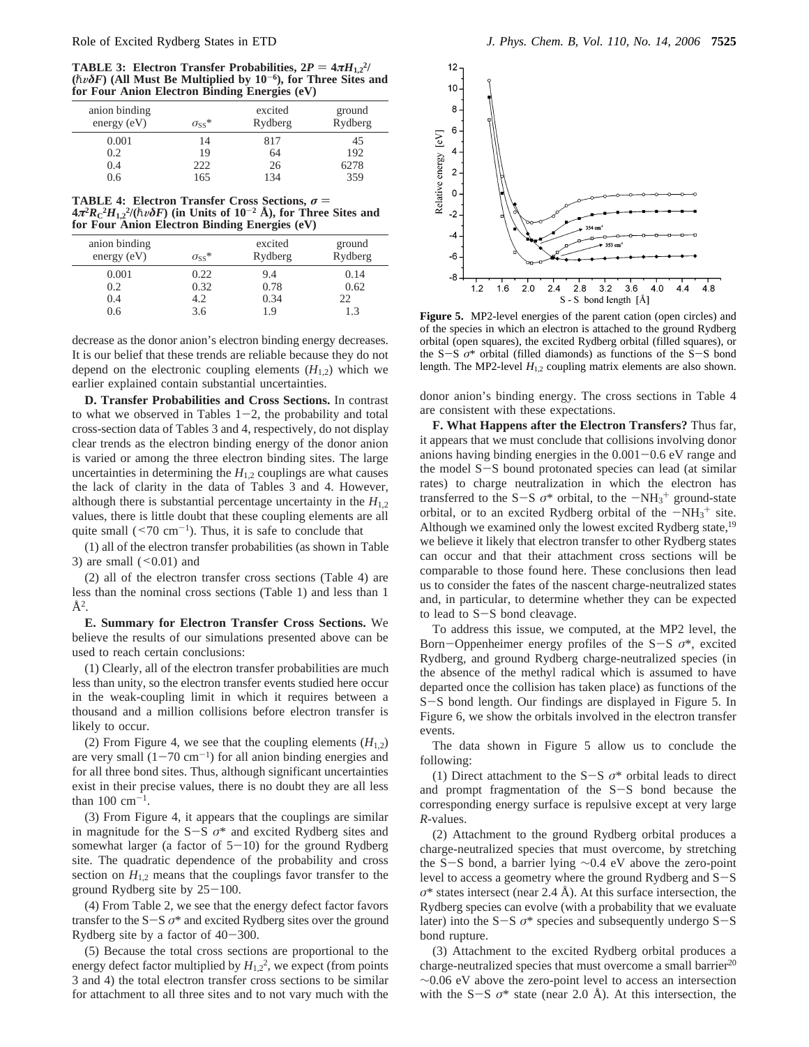**TABLE 3: Electron Transfer Probabilities,**  $2P = 4\pi H_{1,2}$ **<sup>2</sup>/**  $(\hbar v \delta F)$  (All Must Be Multiplied by  $10^{-6}$ ), for Three Sites and **for Four Anion Electron Binding Energies (eV)**

| anion binding<br>energy (eV) | $\sigma_{SS}$ * | excited<br>Rydberg | ground<br>Rydberg |
|------------------------------|-----------------|--------------------|-------------------|
| 0.001                        | 14              | 817                | 45                |
| 0.2                          | 19              | 64                 | 192               |
| 0.4                          | 222             | 26                 | 6278              |
| 0.6                          | 165             | 134                | 359               |

**TABLE 4: Electron Transfer Cross Sections,**  $\sigma = 4\pi^2 R_C^2 H_{1,2}^2 / (\hbar v \delta F)$  (in Units of  $10^{-2}$  Å), for Three Sites and **for Four Anion Electron Binding Energies (eV)**

| anion binding<br>energy (eV) | $\sigma$ ss <sup>*</sup> | excited<br>Rydberg | ground<br>Rydberg |
|------------------------------|--------------------------|--------------------|-------------------|
| 0.001                        | 0.22                     | 9.4                | 0.14              |
| 0.2                          | 0.32                     | 0.78               | 0.62              |
| 0.4                          | 4.2                      | 0.34               | 22                |
| 0.6                          | 3.6                      | 1.9                | 13                |

decrease as the donor anion's electron binding energy decreases. It is our belief that these trends are reliable because they do not depend on the electronic coupling elements  $(H_{1,2})$  which we earlier explained contain substantial uncertainties.

**D. Transfer Probabilities and Cross Sections.** In contrast to what we observed in Tables  $1-2$ , the probability and total cross-section data of Tables 3 and 4, respectively, do not display clear trends as the electron binding energy of the donor anion is varied or among the three electron binding sites. The large uncertainties in determining the  $H_{1,2}$  couplings are what causes the lack of clarity in the data of Tables 3 and 4. However, although there is substantial percentage uncertainty in the  $H_{1,2}$ values, there is little doubt that these coupling elements are all quite small  $(< 70 \text{ cm}^{-1})$ . Thus, it is safe to conclude that

(1) all of the electron transfer probabilities (as shown in Table 3) are small  $(<0.01$ ) and

(2) all of the electron transfer cross sections (Table 4) are less than the nominal cross sections (Table 1) and less than 1  $\rm \AA^2$ .

**E. Summary for Electron Transfer Cross Sections.** We believe the results of our simulations presented above can be used to reach certain conclusions:

(1) Clearly, all of the electron transfer probabilities are much less than unity, so the electron transfer events studied here occur in the weak-coupling limit in which it requires between a thousand and a million collisions before electron transfer is likely to occur.

(2) From Figure 4, we see that the coupling elements  $(H_{1,2})$ are very small  $(1-70 \text{ cm}^{-1})$  for all anion binding energies and for all three bond sites. Thus, although significant uncertainties exist in their precise values, there is no doubt they are all less than  $100 \text{ cm}^{-1}$ .

(3) From Figure 4, it appears that the couplings are similar in magnitude for the  $S-S$   $\sigma^*$  and excited Rydberg sites and somewhat larger (a factor of  $5-10$ ) for the ground Rydberg site. The quadratic dependence of the probability and cross section on  $H_{1,2}$  means that the couplings favor transfer to the ground Rydberg site by  $25-100$ .

(4) From Table 2, we see that the energy defect factor favors transfer to the  $S-S$   $\sigma^*$  and excited Rydberg sites over the ground Rydberg site by a factor of 40-300.

(5) Because the total cross sections are proportional to the energy defect factor multiplied by  $H_{1,2}^2$ , we expect (from points 3 and 4) the total electron transfer cross sections to be similar for attachment to all three sites and to not vary much with the

![](_page_6_Figure_16.jpeg)

Figure 5. MP2-level energies of the parent cation (open circles) and of the species in which an electron is attached to the ground Rydberg orbital (open squares), the excited Rydberg orbital (filled squares), or the S-<sup>S</sup> *<sup>σ</sup>*\* orbital (filled diamonds) as functions of the S-S bond length. The MP2-level  $H_{1,2}$  coupling matrix elements are also shown.

donor anion's binding energy. The cross sections in Table 4 are consistent with these expectations.

**F. What Happens after the Electron Transfers?** Thus far, it appears that we must conclude that collisions involving donor anions having binding energies in the  $0.001-0.6$  eV range and the model S-S bound protonated species can lead (at similar rates) to charge neutralization in which the electron has transferred to the S-S  $\sigma^*$  orbital, to the  $-NH_3^+$  ground-state<br>orbital or to an excited Rydberg orbital of the  $-NH_3^+$  site orbital, or to an excited Rydberg orbital of the  $-NH_3^+$  site.<br>Although we examined only the lowest excited Rydberg state  $^{19}$ Although we examined only the lowest excited Rydberg state,<sup>19</sup> we believe it likely that electron transfer to other Rydberg states can occur and that their attachment cross sections will be comparable to those found here. These conclusions then lead us to consider the fates of the nascent charge-neutralized states and, in particular, to determine whether they can be expected to lead to S-S bond cleavage.

To address this issue, we computed, at the MP2 level, the Born-Oppenheimer energy profiles of the S-<sup>S</sup> *<sup>σ</sup>*\*, excited Rydberg, and ground Rydberg charge-neutralized species (in the absence of the methyl radical which is assumed to have departed once the collision has taken place) as functions of the <sup>S</sup>-S bond length. Our findings are displayed in Figure 5. In Figure 6, we show the orbitals involved in the electron transfer events.

The data shown in Figure 5 allow us to conclude the following:

(1) Direct attachment to the S-<sup>S</sup> *<sup>σ</sup>*\* orbital leads to direct and prompt fragmentation of the S-S bond because the corresponding energy surface is repulsive except at very large *R*-values.

(2) Attachment to the ground Rydberg orbital produces a charge-neutralized species that must overcome, by stretching the S-S bond, a barrier lying <sup>∼</sup>0.4 eV above the zero-point level to access a geometry where the ground Rydberg and S-<sup>S</sup> *σ*\* states intersect (near 2.4 Å). At this surface intersection, the Rydberg species can evolve (with a probability that we evaluate later) into the  $S-S$   $\sigma^*$  species and subsequently undergo  $S-S$ bond rupture.

(3) Attachment to the excited Rydberg orbital produces a charge-neutralized species that must overcome a small barrier $^{20}$ ∼0.06 eV above the zero-point level to access an intersection with the S-S  $\sigma^*$  state (near 2.0 Å). At this intersection, the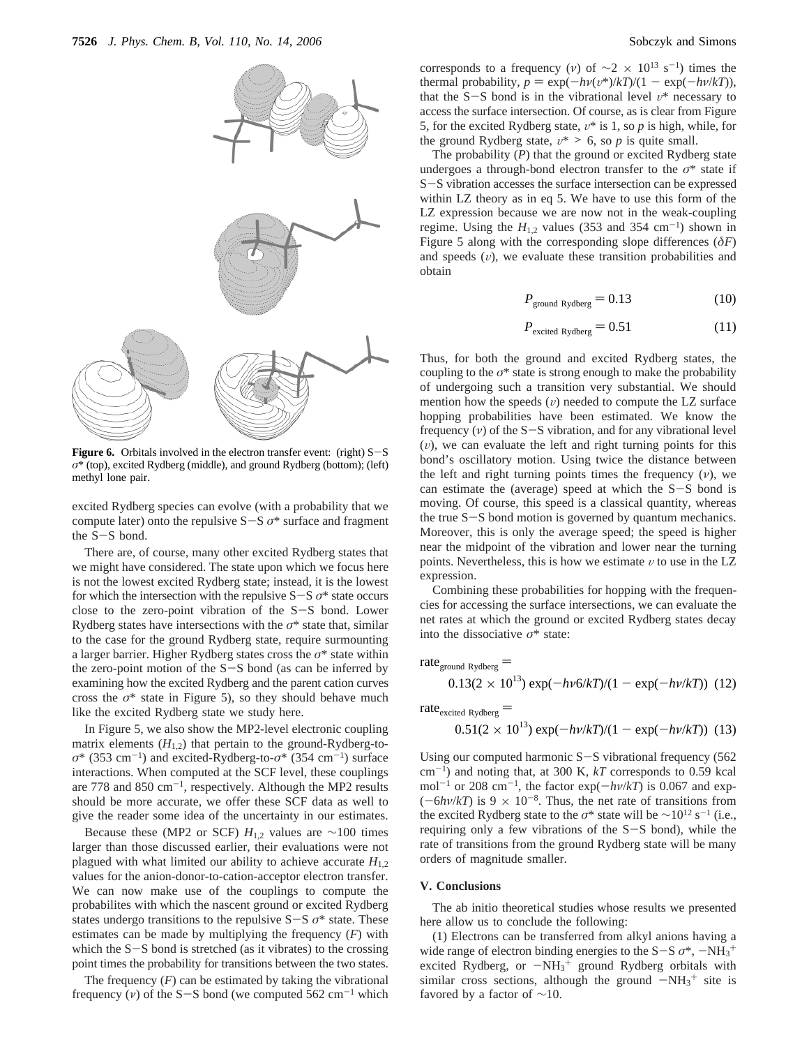![](_page_7_Figure_1.jpeg)

**Figure 6.** Orbitals involved in the electron transfer event: (right)  $S-S$ *σ*\* (top), excited Rydberg (middle), and ground Rydberg (bottom); (left) methyl lone pair.

excited Rydberg species can evolve (with a probability that we compute later) onto the repulsive S-<sup>S</sup> *<sup>σ</sup>*\* surface and fragment the S-S bond.

There are, of course, many other excited Rydberg states that we might have considered. The state upon which we focus here is not the lowest excited Rydberg state; instead, it is the lowest for which the intersection with the repulsive  $S-S \sigma^*$  state occurs close to the zero-point vibration of the S-S bond. Lower Rydberg states have intersections with the  $\sigma^*$  state that, similar to the case for the ground Rydberg state, require surmounting a larger barrier. Higher Rydberg states cross the *σ*\* state within the zero-point motion of the  $S-S$  bond (as can be inferred by examining how the excited Rydberg and the parent cation curves cross the  $\sigma^*$  state in Figure 5), so they should behave much like the excited Rydberg state we study here.

In Figure 5, we also show the MP2-level electronic coupling matrix elements  $(H_{1,2})$  that pertain to the ground-Rydberg-to- $\sigma^*$  (353 cm<sup>-1</sup>) and excited-Rydberg-to- $\sigma^*$  (354 cm<sup>-1</sup>) surface interactions. When computed at the SCF level, these couplings are 778 and 850  $cm^{-1}$ , respectively. Although the MP2 results should be more accurate, we offer these SCF data as well to give the reader some idea of the uncertainty in our estimates.

Because these (MP2 or SCF)  $H_{1,2}$  values are ∼100 times larger than those discussed earlier, their evaluations were not plagued with what limited our ability to achieve accurate  $H_{1,2}$ values for the anion-donor-to-cation-acceptor electron transfer. We can now make use of the couplings to compute the probabilites with which the nascent ground or excited Rydberg states undergo transitions to the repulsive  $S-S \sigma^*$  state. These estimates can be made by multiplying the frequency (*F*) with which the  $S-S$  bond is stretched (as it vibrates) to the crossing point times the probability for transitions between the two states.

The frequency  $(F)$  can be estimated by taking the vibrational frequency  $(v)$  of the S-S bond (we computed 562 cm<sup>-1</sup> which corresponds to a frequency (*v*) of  $\sim$ 2 × 10<sup>13</sup> s<sup>-1</sup>) times the thermal probability,  $p = \exp(-h\nu(v^*)/kT)/(1 - \exp(-h\nu/kT))$ , that the S-S bond is in the vibrational level  $v^*$  necessary to access the surface intersection. Of course, as is clear from Figure 5, for the excited Rydberg state,  $v^*$  is 1, so p is high, while, for the ground Rydberg state,  $v^* > 6$ , so *p* is quite small.

The probability (*P*) that the ground or excited Rydberg state undergoes a through-bond electron transfer to the  $\sigma^*$  state if <sup>S</sup>-S vibration accesses the surface intersection can be expressed within LZ theory as in eq 5. We have to use this form of the LZ expression because we are now not in the weak-coupling regime. Using the  $H_{1,2}$  values (353 and 354 cm<sup>-1</sup>) shown in Figure 5 along with the corresponding slope differences (*δF*) and speeds  $(v)$ , we evaluate these transition probabilities and obtain

$$
P_{\text{ground Rydberg}} = 0.13 \tag{10}
$$

$$
P_{\text{excited Rydberg}} = 0.51\tag{11}
$$

Thus, for both the ground and excited Rydberg states, the coupling to the  $\sigma^*$  state is strong enough to make the probability of undergoing such a transition very substantial. We should mention how the speeds  $(v)$  needed to compute the LZ surface hopping probabilities have been estimated. We know the frequency  $(v)$  of the S-S vibration, and for any vibrational level  $(v)$ , we can evaluate the left and right turning points for this bond's oscillatory motion. Using twice the distance between the left and right turning points times the frequency  $(v)$ , we can estimate the (average) speed at which the  $S-S$  bond is moving. Of course, this speed is a classical quantity, whereas the true  $S-S$  bond motion is governed by quantum mechanics. Moreover, this is only the average speed; the speed is higher near the midpoint of the vibration and lower near the turning points. Nevertheless, this is how we estimate  $\nu$  to use in the LZ expression.

Combining these probabilities for hopping with the frequencies for accessing the surface intersections, we can evaluate the net rates at which the ground or excited Rydberg states decay into the dissociative  $\sigma^*$  state:

rate<sub>ground Rydberg</sub> =  
0.13(2 × 10<sup>13</sup>) exp
$$
(-hv6/kT)/(1 - \exp(-hv/kT))
$$
 (12)

rate<sub>excited Rydberg</sub> =  
0.51(2 × 10<sup>13</sup>) exp(-
$$
h\nu/kT
$$
)/(1 - exp(- $h\nu/kT$ )) (13)

Using our computed harmonic S-S vibrational frequency (562) cm-1) and noting that, at 300 K, *kT* corresponds to 0.59 kcal mol<sup>-1</sup> or 208 cm<sup>-1</sup>, the factor  $\exp(-h\nu/kT)$  is 0.067 and exp- $(-6h\nu/kT)$  is 9 × 10<sup>-8</sup>. Thus, the net rate of transitions from the excited Rydberg state to the  $\sigma^*$  state will be ∼10<sup>12</sup> s<sup>-1</sup> (i.e., requiring only a few vibrations of the S-S bond), while the rate of transitions from the ground Rydberg state will be many orders of magnitude smaller.

## **V. Conclusions**

The ab initio theoretical studies whose results we presented here allow us to conclude the following:

(1) Electrons can be transferred from alkyl anions having a wide range of electron binding energies to the  $S-S \sigma^*$ ,  $-NH_3^+$ <br>excited Rydberg, or  $-NH_2^+$  ground Rydberg orbitals with excited Rydberg, or  $-NH_3^+$  ground Rydberg orbitals with<br>similar cross sections, although the ground  $-NH_2^+$  site is similar cross sections, although the ground  $-NH_3^+$  site is favored by a factor of  $\sim 10$ favored by a factor of ∼10.